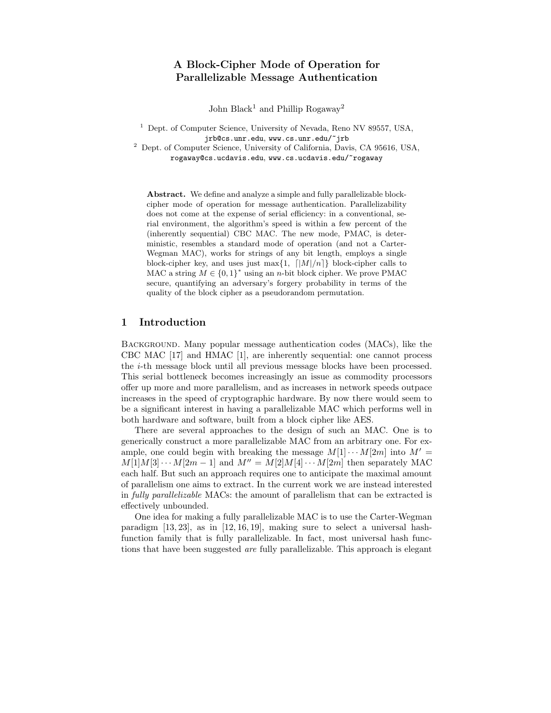# A Block-Cipher Mode of Operation for Parallelizable Message Authentication

John Black<sup>1</sup> and Phillip Rogaway<sup>2</sup>

<sup>1</sup> Dept. of Computer Science, University of Nevada, Reno NV 89557, USA, jrb@cs.unr.edu, www.cs.unr.edu/~jrb

<sup>2</sup> Dept. of Computer Science, University of California, Davis, CA 95616, USA, rogaway@cs.ucdavis.edu, www.cs.ucdavis.edu/~rogaway

Abstract. We define and analyze a simple and fully parallelizable blockcipher mode of operation for message authentication. Parallelizability does not come at the expense of serial efficiency: in a conventional, serial environment, the algorithm's speed is within a few percent of the (inherently sequential) CBC MAC. The new mode, PMAC, is deterministic, resembles a standard mode of operation (and not a Carter-Wegman MAC), works for strings of any bit length, employs a single block-cipher key, and uses just max $\{1, \lfloor |M|/n\rfloor\}$  block-cipher calls to MAC a string  $M \in \{0,1\}^*$  using an *n*-bit block cipher. We prove PMAC secure, quantifying an adversary's forgery probability in terms of the quality of the block cipher as a pseudorandom permutation.

#### 1 Introduction

BACKGROUND. Many popular message authentication codes (MACs), like the CBC MAC [17] and HMAC [1], are inherently sequential: one cannot process the i-th message block until all previous message blocks have been processed. This serial bottleneck becomes increasingly an issue as commodity processors offer up more and more parallelism, and as increases in network speeds outpace increases in the speed of cryptographic hardware. By now there would seem to be a significant interest in having a parallelizable MAC which performs well in both hardware and software, built from a block cipher like AES.

There are several approaches to the design of such an MAC. One is to generically construct a more parallelizable MAC from an arbitrary one. For example, one could begin with breaking the message  $M[1] \cdots M[2m]$  into  $M' =$  $M[1]M[3] \cdots M[2m-1]$  and  $M'' = M[2]M[4] \cdots M[2m]$  then separately MAC each half. But such an approach requires one to anticipate the maximal amount of parallelism one aims to extract. In the current work we are instead interested in fully parallelizable MACs: the amount of parallelism that can be extracted is effectively unbounded.

One idea for making a fully parallelizable MAC is to use the Carter-Wegman paradigm [13, 23], as in [12, 16, 19], making sure to select a universal hashfunction family that is fully parallelizable. In fact, most universal hash functions that have been suggested are fully parallelizable. This approach is elegant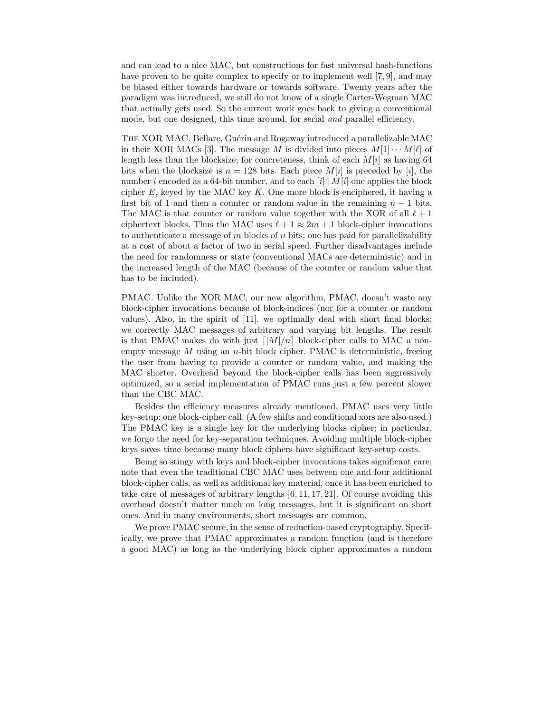and can lead to a nice MAC, but constructions for fast universal hash-functions have proven to be quite complex to specify or to implement well [7, 9], and may be biased either towards hardware or towards software. Twenty years after the paradigm was introduced, we still do not know of a single Carter-Wegman MAC that actually gets used. So the current work goes back to giving a conventional mode, but one designed, this time around, for serial *and* parallel efficiency.

THE XOR MAC. Bellare, Guérin and Rogaway introduced a parallelizable MAC in their XOR MACs [3]. The message M is divided into pieces  $M[1] \cdots M[\ell]$  of length less than the blocksize; for concreteness, think of each  $M[i]$  as having 64 bits when the blocksize is  $n = 128$  bits. Each piece  $M[i]$  is preceded by [i], the number i encoded as a 64-bit number, and to each  $[i] \parallel M[i]$  one applies the block cipher  $E$ , keyed by the MAC key  $K$ . One more block is enciphered, it having a first bit of 1 and then a counter or random value in the remaining  $n - 1$  bits. The MAC is that counter or random value together with the XOR of all  $\ell + 1$ ciphertext blocks. Thus the MAC uses  $\ell + 1 \approx 2m + 1$  block-cipher invocations to authenticate a message of m blocks of n bits; one has paid for parallelizability at a cost of about a factor of two in serial speed. Further disadvantages include the need for randomness or state (conventional MACs are deterministic) and in the increased length of the MAC (because of the counter or random value that has to be included).

PMAC. Unlike the XOR MAC, our new algorithm, PMAC, doesn't waste any block-cipher invocations because of block-indices (nor for a counter or random values). Also, in the spirit of [11], we optimally deal with short final blocks; we correctly MAC messages of arbitrary and varying bit lengths. The result is that PMAC makes do with just  $\lceil |M|/n \rceil$  block-cipher calls to MAC a nonempty message  $M$  using an  $n$ -bit block cipher. PMAC is deterministic, freeing the user from having to provide a counter or random value, and making the MAC shorter. Overhead beyond the block-cipher calls has been aggressively optimized, so a serial implementation of PMAC runs just a few percent slower than the CBC MAC.

Besides the efficiency measures already mentioned, PMAC uses very little key-setup: one block-cipher call. (A few shifts and conditional xors are also used.) The PMAC key is a single key for the underlying blocks cipher; in particular, we forgo the need for key-separation techniques. Avoiding multiple block-cipher keys saves time because many block ciphers have significant key-setup costs.

Being so stingy with keys and block-cipher invocations takes significant care; note that even the traditional CBC MAC uses between one and four additional block-cipher calls, as well as additional key material, once it has been enriched to take care of messages of arbitrary lengths [6, 11, 17, 21]. Of course avoiding this overhead doesn't matter much on long messages, but it is significant on short ones. And in many environments, short messages are common.

We prove PMAC secure, in the sense of reduction-based cryptography. Specifically, we prove that PMAC approximates a random function (and is therefore a good MAC) as long as the underlying block cipher approximates a random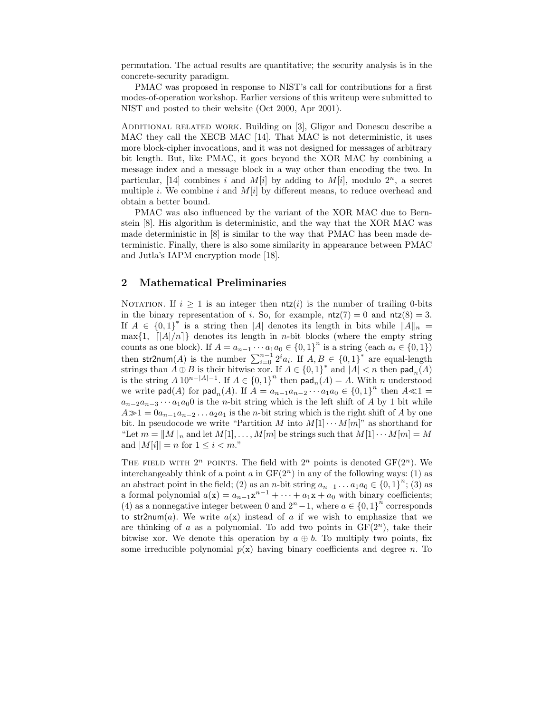permutation. The actual results are quantitative; the security analysis is in the concrete-security paradigm.

PMAC was proposed in response to NIST's call for contributions for a first modes-of-operation workshop. Earlier versions of this writeup were submitted to NIST and posted to their website (Oct 2000, Apr 2001).

ADDITIONAL RELATED WORK. Building on [3], Gligor and Donescu describe a MAC they call the XECB MAC [14]. That MAC is not deterministic, it uses more block-cipher invocations, and it was not designed for messages of arbitrary bit length. But, like PMAC, it goes beyond the XOR MAC by combining a message index and a message block in a way other than encoding the two. In particular, [14] combines i and  $M[i]$  by adding to  $M[i]$ , modulo  $2^n$ , a secret multiple *i*. We combine *i* and  $M[i]$  by different means, to reduce overhead and obtain a better bound.

PMAC was also influenced by the variant of the XOR MAC due to Bernstein [8]. His algorithm is deterministic, and the way that the XOR MAC was made deterministic in [8] is similar to the way that PMAC has been made deterministic. Finally, there is also some similarity in appearance between PMAC and Jutla's IAPM encryption mode [18].

#### 2 Mathematical Preliminaries

NOTATION. If  $i \geq 1$  is an integer then  $n\tau(i)$  is the number of trailing 0-bits in the binary representation of i. So, for example,  $ntz(7) = 0$  and  $ntz(8) = 3$ . If  $A \in \{0,1\}^*$  is a string then |A| denotes its length in bits while  $||A||_n =$  $\max\{1, \left\lfloor |A|/n\right\rfloor\}$  denotes its length in *n*-bit blocks (where the empty string counts as one block). If  $A = a_{n-1} \cdots a_1 a_0 \in \{0,1\}^n$  is a string (each  $a_i \in \{0,1\}$ ) then str2num(A) is the number  $\sum_{i=0}^{n-1} 2^i a_i$ . If  $A, B \in \{0,1\}^*$  are equal-length strings than  $A \oplus B$  is their bitwise xor. If  $A \in \{0,1\}^*$  and  $|A| < n$  then  $\mathsf{pad}_n(A)$ is the string  $A 10^{n-|A|-1}$ . If  $A \in \{0,1\}^n$  then  $\text{pad}_n(A) = A$ . With n understood we write  $\textsf{pad}(A)$  for  $\textsf{pad}_n(A)$ . If  $A = a_{n-1}a_{n-2} \cdots a_1a_0 \in \{0,1\}^n$  then  $A \ll 1$  $a_{n-2}a_{n-3}\cdots a_1a_0$  is the n-bit string which is the left shift of A by 1 bit while  $A\gg1=0a_{n-1}a_{n-2}\ldots a_2a_1$  is the *n*-bit string which is the right shift of A by one bit. In pseudocode we write "Partition M into  $M[1] \cdots M[m]$ " as shorthand for "Let  $m = ||M||_n$  and let  $M[1], \ldots, M[m]$  be strings such that  $M[1] \cdots M[m] = M$ and  $|M[i]| = n$  for  $1 \leq i < m$ ."

THE FIELD WITH  $2^n$  POINTS. The field with  $2^n$  points is denoted  $GF(2^n)$ . We interchangeably think of a point a in  $GF(2<sup>n</sup>)$  in any of the following ways: (1) as an abstract point in the field; (2) as an n-bit string  $a_{n-1} \ldots a_1 a_0 \in \{0,1\}^n$ ; (3) as a formal polynomial  $a(\mathbf{x}) = a_{n-1}\mathbf{x}^{n-1} + \cdots + a_1\mathbf{x} + a_0$  with binary coefficients; (4) as a nonnegative integer between 0 and  $2^{n}-1$ , where  $a \in \{0,1\}^{n}$  corresponds to str2num(a). We write  $a(x)$  instead of a if we wish to emphasize that we are thinking of a as a polynomial. To add two points in  $GF(2^n)$ , take their bitwise xor. We denote this operation by  $a \oplus b$ . To multiply two points, fix some irreducible polynomial  $p(x)$  having binary coefficients and degree n. To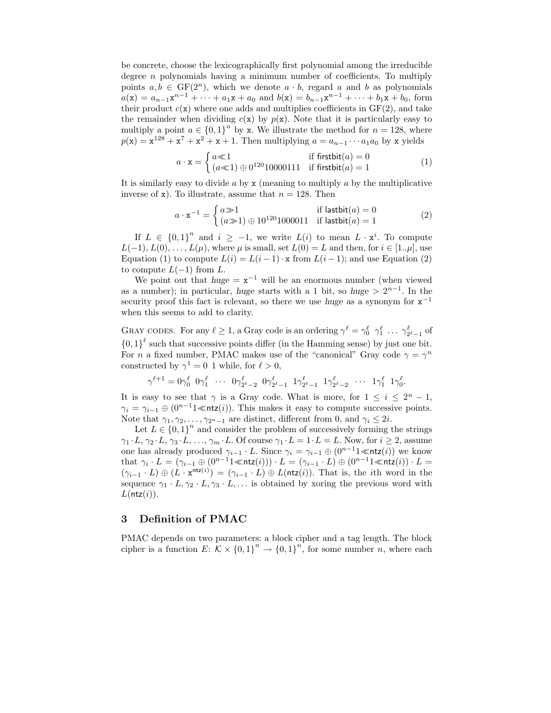be concrete, choose the lexicographically first polynomial among the irreducible degree  $n$  polynomials having a minimum number of coefficients. To multiply points  $a, b \in GF(2^n)$ , which we denote  $a \cdot b$ , regard a and b as polynomials  $a(\mathbf{x}) = a_{n-1}\mathbf{x}^{n-1} + \cdots + a_1\mathbf{x} + a_0$  and  $b(\mathbf{x}) = b_{n-1}\mathbf{x}^{n-1} + \cdots + b_1\mathbf{x} + b_0$ , form their product  $c(\mathbf{x})$  where one adds and multiplies coefficients in  $GF(2)$ , and take the remainder when dividing  $c(x)$  by  $p(x)$ . Note that it is particularly easy to multiply a point  $a \in \{0,1\}^n$  by x. We illustrate the method for  $n = 128$ , where  $p(\mathbf{x}) = \mathbf{x}^{128} + \mathbf{x}^7 + \mathbf{x}^2 + \mathbf{x} + 1$ . Then multiplying  $a = a_{n-1} \cdots a_1 a_0$  by x yields

$$
a \cdot \mathbf{x} = \begin{cases} a \ll 1 & \text{if firstbit}(a) = 0\\ (a \ll 1) \oplus 0^{120} 10000111 & \text{if firstbit}(a) = 1 \end{cases} \tag{1}
$$

It is similarly easy to divide  $a$  by  $x$  (meaning to multiply  $a$  by the multiplicative inverse of x). To illustrate, assume that  $n = 128$ . Then

$$
a \cdot x^{-1} = \begin{cases} a \gg 1 & \text{if } \mathsf{lastbit}(a) = 0\\ (a \gg 1) \oplus 10^{120} 1000011 & \text{if } \mathsf{lastbit}(a) = 1 \end{cases} \tag{2}
$$

If  $L \in \{0,1\}^n$  and  $i \geq -1$ , we write  $L(i)$  to mean  $L \cdot \mathbf{x}^i$ . To compute  $L(-1), L(0), \ldots, L(\mu)$ , where  $\mu$  is small, set  $L(0) = L$  and then, for  $i \in [1..\mu]$ , use Equation (1) to compute  $L(i) = L(i-1) \cdot x$  from  $L(i-1)$ ; and use Equation (2) to compute  $L(-1)$  from  $L$ .

We point out that  $huge = x^{-1}$  will be an enormous number (when viewed as a number); in particular, huge starts with a 1 bit, so huge  $> 2^{n-1}$ . In the security proof this fact is relevant, so there we use *huge* as a synonym for  $x^{-1}$ when this seems to add to clarity.

GRAY CODES. For any  $\ell \ge 1$ , a Gray code is an ordering  $\gamma^{\ell} = \gamma_0^{\ell} \gamma_1^{\ell} \dots \gamma_{2^{\ell}-1}^{\ell}$  of  ${0,1}^{\ell}$  such that successive points differ (in the Hamming sense) by just one bit. For *n* a fixed number, PMAC makes use of the "canonical" Gray code  $\gamma = \gamma^n$ constructed by  $\gamma^1 = 0$  1 while, for  $\ell > 0$ ,

$$
\gamma^{\ell+1} = 0 \gamma^\ell_0 \;\; 0 \gamma^\ell_1 \;\; \cdots \;\; 0 \gamma^\ell_{2^\ell-2} \;\; 0 \gamma^\ell_{2^\ell-1} \;\; 1 \gamma^\ell_{2^\ell-1} \;\; 1 \gamma^\ell_{2^\ell-2} \;\; \cdots \;\; 1 \gamma^\ell_1 \;\; 1 \gamma^\ell_0.
$$

It is easy to see that  $\gamma$  is a Gray code. What is more, for  $1 \leq i \leq 2^{n} - 1$ ,  $\gamma_i = \gamma_{i-1} \oplus (0^{n-1}1 \ll ntz(i))$ . This makes it easy to compute successive points. Note that  $\gamma_1, \gamma_2, \ldots, \gamma_{2^n-1}$  are distinct, different from 0, and  $\gamma_i \leq 2i$ .

Let  $L \in \{0,1\}^n$  and consider the problem of successively forming the strings  $\gamma_1 \cdot L, \gamma_2 \cdot L, \gamma_3 \cdot L, \ldots, \gamma_m \cdot L$ . Of course  $\gamma_1 \cdot L = 1 \cdot L = L$ . Now, for  $i \geq 2$ , assume one has already produced  $\gamma_{i-1} \cdot L$ . Since  $\gamma_i = \gamma_{i-1} \oplus (0^{n-1}1 \leq \text{ntz}(i))$  we know that  $\gamma_i \cdot L = (\gamma_{i-1} \oplus (0^{n-1}1 \ll \mathsf{ntz}(i))) \cdot L = (\gamma_{i-1} \cdot L) \oplus (0^{n-1}1 \ll \mathsf{ntz}(i)) \cdot L =$  $(\gamma_{i-1} \cdot L) \oplus (L \cdot \mathbf{x}^{n\mathsf{trz}(i)}) = (\gamma_{i-1} \cdot L) \oplus L(n\mathsf{tz}(i)).$  That is, the *i*th word in the sequence  $\gamma_1 \cdot L, \gamma_2 \cdot L, \gamma_3 \cdot L, \ldots$  is obtained by xoring the previous word with  $L(\mathsf{ntz}(i))$ .

## 3 Definition of PMAC

PMAC depends on two parameters: a block cipher and a tag length. The block cipher is a function  $E: \mathcal{K} \times \{0,1\}^n \to \{0,1\}^n$ , for some number n, where each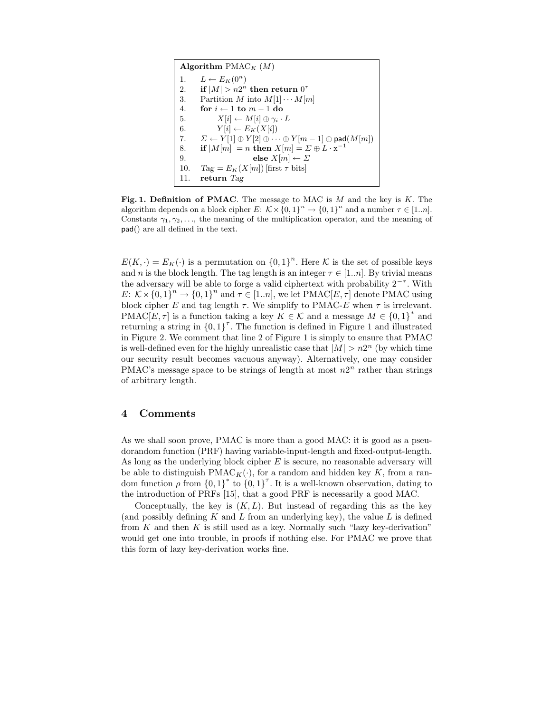```
Algorithm PMAC<sub>K</sub> (M)1. L \leftarrow E_K(0^n)2. if |M| > n2^n then return 0^{\tau}3. Partition M into M[1] \cdots M[m]4. for i \leftarrow 1 to m - 1 do
5. X[i] \leftarrow M[i] \oplus \gamma_i \cdot L6. Y[i] \leftarrow E_K(X[i])7. \Sigma \leftarrow Y[1] \oplus Y[2] \oplus \cdots \oplus Y[m-1] \oplus \mathsf{pad}(M[m])8. if |M[m]| = n then X[m] = \Sigma \oplus L \cdot \mathbf{x}^{-1}9. else X[m] \leftarrow \Sigma10. Tag = E_K(X[m]) [first \tau bits]
11. return Tag
```
Fig. 1. Definition of PMAC. The message to MAC is  $M$  and the key is  $K$ . The algorithm depends on a block cipher  $E: \mathcal{K} \times \{0,1\}^n \to \{0,1\}^n$  and a number  $\tau \in [1..n]$ . Constants  $\gamma_1, \gamma_2, \ldots$ , the meaning of the multiplication operator, and the meaning of pad() are all defined in the text.

 $E(K, \cdot) = E_K(\cdot)$  is a permutation on  $\{0, 1\}^n$ . Here K is the set of possible keys and n is the block length. The tag length is an integer  $\tau \in [1..n]$ . By trivial means the adversary will be able to forge a valid ciphertext with probability  $2^{-\tau}$ . With  $E: \mathcal{K} \times \{0,1\}^n \to \{0,1\}^n$  and  $\tau \in [1..n]$ , we let PMAC $[E,\tau]$  denote PMAC using block cipher E and tag length  $\tau$ . We simplify to PMAC-E when  $\tau$  is irrelevant. PMAC[E,  $\tau$ ] is a function taking a key  $K \in \mathcal{K}$  and a message  $M \in \{0,1\}^*$  and returning a string in  ${0,1}^7$ . The function is defined in Figure 1 and illustrated in Figure 2. We comment that line 2 of Figure 1 is simply to ensure that PMAC is well-defined even for the highly unrealistic case that  $|M| > n2^n$  (by which time our security result becomes vacuous anyway). Alternatively, one may consider PMAC's message space to be strings of length at most  $n2^n$  rather than strings of arbitrary length.

#### 4 Comments

As we shall soon prove, PMAC is more than a good MAC: it is good as a pseudorandom function (PRF) having variable-input-length and fixed-output-length. As long as the underlying block cipher  $E$  is secure, no reasonable adversary will be able to distinguish PMAC<sub>K</sub>( $\cdot$ ), for a random and hidden key K, from a random function  $\rho$  from  $\{0,1\}^*$  to  $\{0,1\}^{\tau}$ . It is a well-known observation, dating to the introduction of PRFs [15], that a good PRF is necessarily a good MAC.

Conceptually, the key is  $(K, L)$ . But instead of regarding this as the key (and possibly defining  $K$  and  $L$  from an underlying key), the value  $L$  is defined from K and then K is still used as a key. Normally such "lazy key-derivation" would get one into trouble, in proofs if nothing else. For PMAC we prove that this form of lazy key-derivation works fine.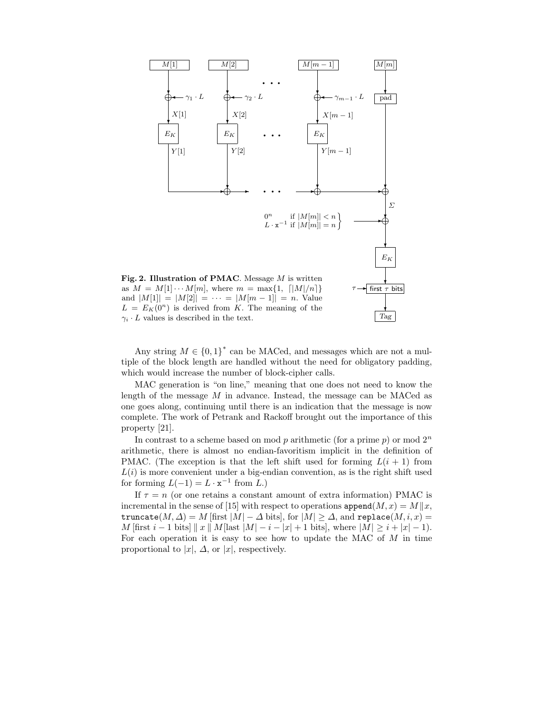

 $\gamma_i \cdot L$  values is described in the text.

Any string  $M \in \{0,1\}^*$  can be MACed, and messages which are not a multiple of the block length are handled without the need for obligatory padding, which would increase the number of block-cipher calls.

MAC generation is "on line," meaning that one does not need to know the length of the message  $M$  in advance. Instead, the message can be MACed as one goes along, continuing until there is an indication that the message is now complete. The work of Petrank and Rackoff brought out the importance of this property [21].

In contrast to a scheme based on mod  $p$  arithmetic (for a prime  $p$ ) or mod  $2<sup>n</sup>$ arithmetic, there is almost no endian-favoritism implicit in the definition of PMAC. (The exception is that the left shift used for forming  $L(i + 1)$  from  $L(i)$  is more convenient under a big-endian convention, as is the right shift used for forming  $L(-1) = L \cdot \mathbf{x}^{-1}$  from  $L$ .)

If  $\tau = n$  (or one retains a constant amount of extra information) PMAC is incremental in the sense of [15] with respect to operations  $\text{append}(M, x) = M||x|$ , truncate( $M, \Delta$ ) = M [first  $|M| - \Delta$  bits], for  $|M| \ge \Delta$ , and replace( $M, i, x$ ) = *M* [first *i* − 1 bits]  $\|x\|$  *M* [last  $|M|$  − *i* −  $|x|$  + 1 bits], where  $|M| \ge i + |x| - 1$ . For each operation it is easy to see how to update the MAC of  $M$  in time proportional to  $|x|, \Delta$ , or  $|x|$ , respectively.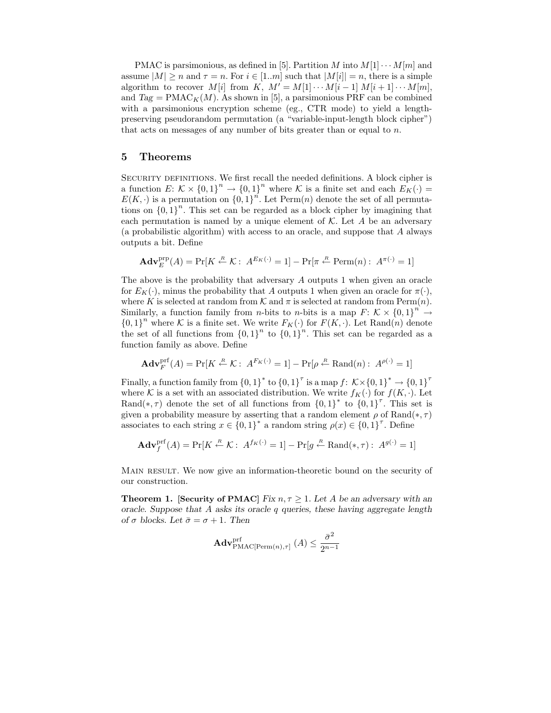PMAC is parsimonious, as defined in [5]. Partition M into  $M[1] \cdots M[m]$  and assume  $|M| \ge n$  and  $\tau = n$ . For  $i \in [1..m]$  such that  $|M[i]| = n$ , there is a simple algorithm to recover M[i] from K,  $M' = M[1] \cdots M[i-1] M[i+1] \cdots M[m],$ and  $Tag = PMAC<sub>K</sub>(M)$ . As shown in [5], a parsimonious PRF can be combined with a parsimonious encryption scheme (eg., CTR mode) to yield a lengthpreserving pseudorandom permutation (a "variable-input-length block cipher") that acts on messages of any number of bits greater than or equal to  $n$ .

#### 5 Theorems

SECURITY DEFINITIONS. We first recall the needed definitions. A block cipher is a function  $E: \mathcal{K} \times \{0,1\}^n \to \{0,1\}^n$  where  $\mathcal K$  is a finite set and each  $E_K(\cdot) =$  $E(K, \cdot)$  is a permutation on  ${0, 1}^n$ . Let Perm $(n)$  denote the set of all permutations on  ${0, 1}^n$ . This set can be regarded as a block cipher by imagining that each permutation is named by a unique element of  $K$ . Let A be an adversary (a probabilistic algorithm) with access to an oracle, and suppose that A always outputs a bit. Define

$$
\mathbf{Adv}_{E}^{\text{prp}}(A) = \Pr[K \stackrel{R}{\leftarrow} \mathcal{K} : A^{E_K(\cdot)} = 1] - \Pr[\pi \stackrel{R}{\leftarrow} \text{Perm}(n) : A^{\pi(\cdot)} = 1]
$$

The above is the probability that adversary A outputs 1 when given an oracle for  $E_K(\cdot)$ , minus the probability that A outputs 1 when given an oracle for  $\pi(\cdot)$ , where K is selected at random from  $K$  and  $\pi$  is selected at random from Perm $(n)$ . Similarly, a function family from *n*-bits to *n*-bits is a map  $F: K \times \{0,1\}^n \rightarrow$  ${0,1}^n$  where K is a finite set. We write  $F_K(\cdot)$  for  $F(K, \cdot)$ . Let Rand $(n)$  denote the set of all functions from  ${0,1}^n$  to  ${0,1}^n$ . This set can be regarded as a function family as above. Define

$$
\mathbf{Adv}_{F}^{\mathrm{prf}}(A) = \Pr[K \stackrel{R}{\leftarrow} \mathcal{K} : A^{F_{K}(\cdot)} = 1] - \Pr[\rho \stackrel{R}{\leftarrow} \mathrm{Rand}(n) : A^{\rho(\cdot)} = 1]
$$

Finally, a function family from  $\{0,1\}^*$  to  $\{0,1\}^{\tau}$  is a map  $f: \mathcal{K} \times \{0,1\}^* \to \{0,1\}^{\tau}$ where K is a set with an associated distribution. We write  $f_K(\cdot)$  for  $f(K, \cdot)$ . Let Rand(\*,  $\tau$ ) denote the set of all functions from  $\{0,1\}^*$  to  $\{0,1\}^{\tau}$ . This set is given a probability measure by asserting that a random element  $\rho$  of Rand(\*,  $\tau$ ) associates to each string  $x \in \{0,1\}^*$  a random string  $\rho(x) \in \{0,1\}^{\tau}$ . Define

$$
\mathbf{Adv}_{f}^{\mathrm{prf}}(A) = \Pr[K \stackrel{R}{\leftarrow} \mathcal{K} : A^{f_{K}(\cdot)} = 1] - \Pr[g \stackrel{R}{\leftarrow} \mathrm{Rand}(*, \tau) : A^{g(\cdot)} = 1]
$$

MAIN RESULT. We now give an information-theoretic bound on the security of our construction.

**Theorem 1.** [Security of PMAC] Fix  $n, \tau > 1$ . Let A be an adversary with an oracle. Suppose that  $A$  asks its oracle  $q$  queries, these having aggregate length of  $\sigma$  blocks. Let  $\bar{\sigma} = \sigma + 1$ . Then

$$
\mathbf{Adv}_{\mathrm{PMAC}[\mathrm{Perm}(n), \tau]}^{\mathrm{prf}}\left(A\right) \le \frac{\bar{\sigma}^2}{2^{n-1}}
$$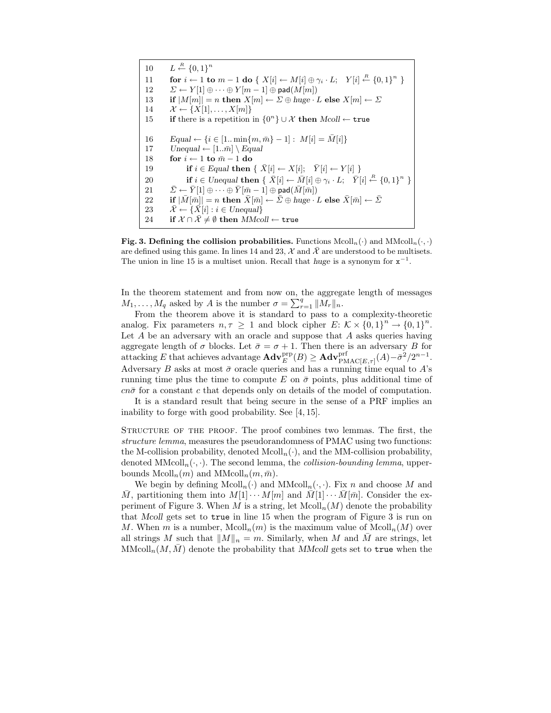$10$  $\stackrel{R}{\leftarrow} \{0,1\}^n$ 11 for  $i \leftarrow 1$  to  $m-1$  do  $\{ X[i] \leftarrow M[i] \oplus \gamma_i \cdot L; \quad Y[i] \stackrel{R}{\leftarrow} \{0,1\}^n \}$ 12  $\Sigma \leftarrow Y[1] \oplus \cdots \oplus Y[m-1] \oplus \mathsf{pad}(M[m])$ 13 if  $|M[m]| = n$  then  $X[m] \leftarrow \Sigma \oplus huge \cdot L$  else  $X[m] \leftarrow \Sigma$ 14  $\mathcal{X} \leftarrow \{X[1], \ldots, X[m]\}$ 15 if there is a repetition in  ${0<sup>n</sup>} ∪ ∠$  then Mcoll ← true 16  $\text{Equal} \leftarrow \{i \in [1 \dots \min\{m, \bar{m}\} - 1]: M[i] = \bar{M}[i]\}$ 17  $U \neq [1..\bar{m}] \setminus Equal$ 18 for  $i \leftarrow 1$  to  $\bar{m} - 1$  do 19 if  $i \in Equal$  then  $\{ \overline{X}[i] \leftarrow X[i]; \overline{Y}[i] \leftarrow Y[i] \}$ 20 if  $i \in Unequal$  then  $\{ \bar{X}[i] \leftarrow \bar{M}[i] \oplus \gamma_i \cdot L; \quad \bar{Y}[i] \stackrel{R}{\leftarrow} \{0,1\}^n \}$ 21  $\bar{\Sigma} \leftarrow \bar{Y}[1] \oplus \cdots \oplus \bar{Y}[\bar{m}-1] \oplus \mathsf{pad}(\bar{M}[\bar{m}])$ 22 if  $|\bar{M}[\bar{m}]| = n$  then  $\bar{X}[\bar{m}] \leftarrow \bar{\Sigma} \oplus \text{huge} \cdot L$  else  $\bar{X}[\bar{m}] \leftarrow \bar{\Sigma}$ 23  $\bar{\mathcal{X}} \leftarrow {\bar{X}[i] : i \in Unequal}$ 24 if  $X \cap \overline{X} \neq \emptyset$  then  $MMcoll \leftarrow \text{true}$ 

Fig. 3. Defining the collision probabilities. Functions  $\text{Mcoll}_n(\cdot)$  and  $\text{MMod}_n(\cdot, \cdot)$ are defined using this game. In lines 14 and 23,  $\mathcal{X}$  and  $\bar{\mathcal{X}}$  are understood to be multisets. The union in line 15 is a multiset union. Recall that huge is a synonym for  $x^{-1}$ .

In the theorem statement and from now on, the aggregate length of messages  $M_1, \ldots, M_q$  asked by A is the number  $\sigma = \sum_{r=1}^q ||M_r||_n$ .

From the theorem above it is standard to pass to a complexity-theoretic analog. Fix parameters  $n, \tau \geq 1$  and block cipher  $E: \mathcal{K} \times \{0,1\}^n \to \{0,1\}^n$ . Let  $A$  be an adversary with an oracle and suppose that  $A$  asks queries having aggregate length of  $\sigma$  blocks. Let  $\bar{\sigma} = \sigma + 1$ . Then there is an adversary B for attacking E that achieves advantage  $\mathbf{Adv}_{E}^{\text{prp}}(B) \geq \mathbf{Adv}_{\text{PMAC}[E,\tau]}^{\text{prf}}(A) - \bar{\sigma}^{2}/2^{n-1}$ . Adversary B asks at most  $\bar{\sigma}$  oracle queries and has a running time equal to A's running time plus the time to compute E on  $\bar{\sigma}$  points, plus additional time of  $cn\bar{\sigma}$  for a constant c that depends only on details of the model of computation.

It is a standard result that being secure in the sense of a PRF implies an inability to forge with good probability. See [4, 15].

STRUCTURE OF THE PROOF. The proof combines two lemmas. The first, the structure lemma, measures the pseudorandomness of PMAC using two functions: the M-collision probability, denoted  $M\text{coll}_n(\cdot)$ , and the MM-collision probability, denoted  $M\text{Mcoll}_n(\cdot, \cdot)$ . The second lemma, the *collision-bounding lemma*, upperbounds  $\text{Mcoll}_n(m)$  and  $\text{MMcoll}_n(m, \bar{m})$ .

We begin by defining  $M\text{coll}_n(\cdot)$  and  $M\text{Mcoll}_n(\cdot, \cdot)$ . Fix n and choose M and M, partitioning them into  $M[1] \cdots M[m]$  and  $\overline{M}[1] \cdots \overline{M}[m]$ . Consider the experiment of Figure 3. When M is a string, let  $\text{Mcoll}_n(M)$  denote the probability that Mcoll gets set to true in line 15 when the program of Figure 3 is run on M. When m is a number,  $\text{Mcoll}_n(m)$  is the maximum value of  $\text{Mcoll}_n(M)$  over all strings M such that  $||M||_n = m$ . Similarly, when M and M are strings, let  $M_{\text{Mcoll}_n}(M, \overline{M})$  denote the probability that MMcoll gets set to true when the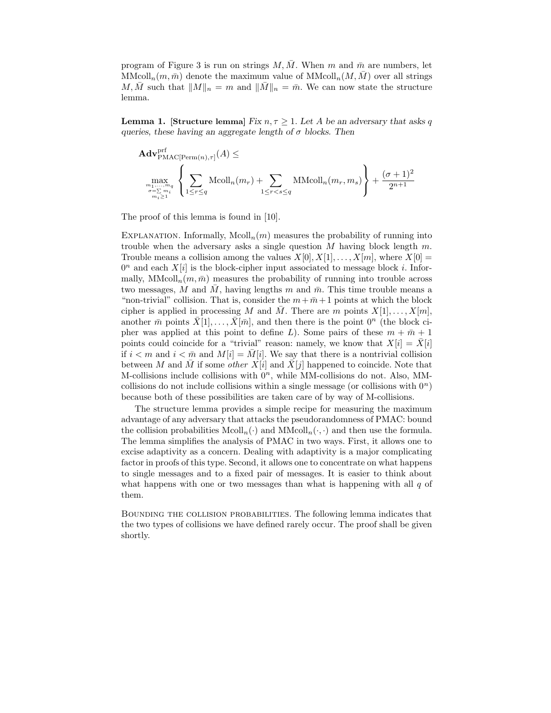program of Figure 3 is run on strings M,  $\overline{M}$ . When m and  $\overline{m}$  are numbers, let  $\text{MMcoll}_n(m, \bar{m})$  denote the maximum value of  $\text{MMcoll}_n(M, \bar{M})$  over all strings M, M such that  $||M||_n = m$  and  $||M||_n = \overline{m}$ . We can now state the structure lemma.

**Lemma 1.** [Structure lemma] Fix  $n, \tau > 1$ . Let A be an adversary that asks q queries, these having an aggregate length of  $\sigma$  blocks. Then

$$
\mathbf{Adv}_{\mathrm{PMAC}[\mathrm{Perm}(n),\tau]}^{\mathrm{prf}}(A) \le
$$
\n
$$
\max_{\substack{m_1,\ldots,m_q\\ \sigma=\sum m\\ m_i\geq 1}}\left\{\sum_{1\leq r\leq q}\mathrm{Mcoll}_n(m_r) + \sum_{1\leq r
$$

The proof of this lemma is found in [10].

EXPLANATION. Informally,  $\text{Mcoll}_n(m)$  measures the probability of running into trouble when the adversary asks a single question  $M$  having block length  $m$ . Trouble means a collision among the values  $X[0], X[1], \ldots, X[m]$ , where  $X[0] =$  $0<sup>n</sup>$  and each  $X[i]$  is the block-cipher input associated to message block i. Informally,  $M_{\text{M}\text{coll}_n}(m, \bar{m})$  measures the probability of running into trouble across two messages, M and M, having lengths m and  $\bar{m}$ . This time trouble means a "non-trivial" collision. That is, consider the  $m + \overline{m} + 1$  points at which the block cipher is applied in processing M and M. There are m points  $X[1], \ldots, X[m],$ another  $\bar{m}$  points  $\bar{X}[1], \ldots, \bar{X}[\bar{m}],$  and then there is the point  $0^n$  (the block cipher was applied at this point to define L). Some pairs of these  $m + \overline{m} + 1$ points could coincide for a "trivial" reason: namely, we know that  $X[i] = \overline{X}[i]$ if  $i < m$  and  $i < \bar{m}$  and  $M[i] = M[i]$ . We say that there is a nontrivial collision between M and M if some other  $X[i]$  and  $\overline{X}[j]$  happened to coincide. Note that M-collisions include collisions with  $0<sup>n</sup>$ , while MM-collisions do not. Also, MMcollisions do not include collisions within a single message (or collisions with  $0^n$ ) because both of these possibilities are taken care of by way of M-collisions.

The structure lemma provides a simple recipe for measuring the maximum advantage of any adversary that attacks the pseudorandomness of PMAC: bound the collision probabilities  $M\text{coll}_n(\cdot)$  and  $M\text{M}\text{coll}_n(\cdot, \cdot)$  and then use the formula. The lemma simplifies the analysis of PMAC in two ways. First, it allows one to excise adaptivity as a concern. Dealing with adaptivity is a major complicating factor in proofs of this type. Second, it allows one to concentrate on what happens to single messages and to a fixed pair of messages. It is easier to think about what happens with one or two messages than what is happening with all  $q$  of them.

Bounding the collision probabilities. The following lemma indicates that the two types of collisions we have defined rarely occur. The proof shall be given shortly.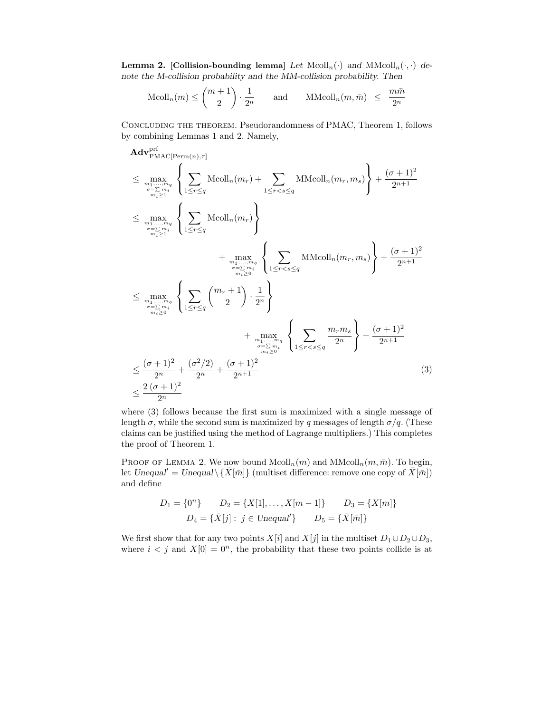**Lemma 2.** [Collision-bounding lemma] Let  $Mcol<sub>n</sub>(·)$  and  $MMod<sub>n</sub>(·,·)$  denote the M-collision probability and the MM-collision probability. Then

$$
\text{Mcoll}_n(m) \le \binom{m+1}{2} \cdot \frac{1}{2^n} \quad \text{and} \quad \text{MModl}_n(m, \bar{m}) \le \frac{m\bar{m}}{2^n}
$$

Concluding the theorem. Pseudorandomness of PMAC, Theorem 1, follows by combining Lemmas 1 and 2. Namely,

$$
\begin{split} &\mathbf{Adv}_{\mathrm{PMAC}[\mathrm{Perm}(n),\tau]}^{\mathrm{prf}} \\ &\leq \max_{m_1,\ldots,m_q \atop m_1\geq 1} \left\{ \sum_{1\leq r\leq q} \mathrm{Mcoll}_n(m_r) + \sum_{1\leq r
$$

where (3) follows because the first sum is maximized with a single message of length  $\sigma$ , while the second sum is maximized by q messages of length  $\sigma/q$ . (These claims can be justified using the method of Lagrange multipliers.) This completes the proof of Theorem 1.

PROOF OF LEMMA 2. We now bound  $\text{Mcoll}_n(m)$  and  $\text{MMcoll}_n(m, \bar{m})$ . To begin, let Unequal' = Unequal $\setminus {\bar{X}}[\bar{m}]$  (multiset difference: remove one copy of  $\bar{X}[\bar{m}]$ ) and define

$$
D_1 = \{0^n\} \qquad D_2 = \{X[1], \dots, X[m-1]\} \qquad D_3 = \{X[m]\}
$$

$$
D_4 = \{\bar{X}[j] : j \in \text{Unequal}'\} \qquad D_5 = \{\bar{X}[\bar{m}]\}
$$

We first show that for any two points  $X[i]$  and  $X[j]$  in the multiset  $D_1 \cup D_2 \cup D_3$ , where  $i < j$  and  $X[0] = 0^n$ , the probability that these two points collide is at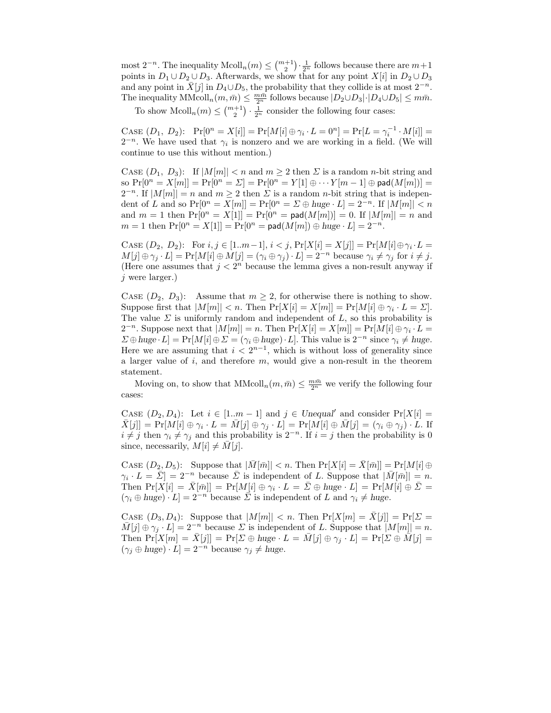most  $2^{-n}$ . The inequality  $\text{Mcoll}_n(m) \leq \binom{m+1}{2} \cdot \frac{1}{2^n}$  follows because there are  $m+1$ points in  $D_1 \cup D_2 \cup D_3$ . Afterwards, we show that for any point  $X[i]$  in  $D_2 \cup D_3$ and any point in  $\bar{X}[j]$  in  $D_4 \cup D_5$ , the probability that they collide is at most  $2^{-n}$ . The inequality  $\text{MMod}_n(m, \bar{m}) \leq \frac{m\bar{m}}{2^n}$  follows because  $|D_2 \cup D_3| \cdot |D_4 \cup D_5| \leq m\bar{m}$ .

To show  $\text{Mcoll}_n(m) \leq \binom{m+1}{2} \cdot \frac{1}{2^n}$  consider the following four cases:

CASE  $(D_1, D_2)$ :  $Pr[0^n = X[i]] = Pr[M[i] \oplus \gamma_i \cdot L = 0^n] = Pr[L = \gamma_i^{-1} \cdot M[i]] =$  $2^{-n}$ . We have used that  $\gamma_i$  is nonzero and we are working in a field. (We will continue to use this without mention.)

CASE  $(D_1, D_3)$ : If  $|M[m]| < n$  and  $m \geq 2$  then  $\Sigma$  is a random *n*-bit string and so  $Pr[0^n = X[m]] = Pr[0^n = \Sigma] = Pr[0^n = Y[1] \oplus \cdots Y[m-1] \oplus pad(M[m])] =$  $2^{-n}$ . If  $|M[m]| = n$  and  $m \ge 2$  then  $\Sigma$  is a random *n*-bit string that is independent of L and so  $Pr[0^n = X[m]] = Pr[0^n = \Sigma \oplus huge \cdot L] = 2^{-n}$ . If  $|M[m]| < n$ and  $m = 1$  then  $Pr[0^n = X[1]] = Pr[0^n = pad(M[m])] = 0$ . If  $|M[m]| = n$  and  $m = 1$  then  $Pr[0^n = X[1]] = Pr[0^n = pad(M[m]) \oplus huge \cdot L] = 2^{-n}$ .

CASE  $(D_2, D_2)$ : For  $i, j \in [1..m-1], i < j$ ,  $Pr[X[i] = X[j]] = Pr[M[i] \oplus \gamma_i \cdot L =$  $M[j] \oplus \gamma_j \cdot L] = \Pr[M[i] \oplus M[j] = (\gamma_i \oplus \gamma_j) \cdot L] = 2^{-n}$  because  $\gamma_i \neq \gamma_j$  for  $i \neq j$ . (Here one assumes that  $j < 2<sup>n</sup>$  because the lemma gives a non-result anyway if  $j$  were larger.)

CASE  $(D_2, D_3)$ : Assume that  $m \geq 2$ , for otherwise there is nothing to show. Suppose first that  $|M[m]| < n$ . Then  $Pr[X[i] = X[m]] = Pr[M[i] \oplus \gamma_i \cdot L = \Sigma].$ The value  $\Sigma$  is uniformly random and independent of L, so this probability is  $2^{-n}$ . Suppose next that  $|M[m]| = n$ . Then  $Pr[X[i] = X[m]] = Pr[M[i] \oplus \gamma_i \cdot L =$  $\Sigma \oplus \text{huge} \cdot L$ ] =  $\Pr[M[i] \oplus \Sigma = (\gamma_i \oplus \text{huge} \cdot L]$ . This value is  $2^{-n}$  since  $\gamma_i \neq \text{huge}$ . Here we are assuming that  $i < 2^{n-1}$ , which is without loss of generality since a larger value of  $i$ , and therefore  $m$ , would give a non-result in the theorem statement.

Moving on, to show that  $\text{MMcoll}_n(m, \bar{m}) \leq \frac{m\bar{m}}{2^n}$  we verify the following four cases:

CASE  $(D_2, D_4)$ : Let  $i \in [1..m-1]$  and  $j \in Unequal'$  and consider  $Pr[X[i] =$  $\bar{X}[j]] = \Pr[M[i] \oplus \gamma_i \cdot L = \bar{M}[j] \oplus \gamma_j \cdot L] = \Pr[M[i] \oplus \bar{M}[j] = (\gamma_i \oplus \gamma_j) \cdot L$ . If  $i \neq j$  then  $\gamma_i \neq \gamma_j$  and this probability is  $2^{-n}$ . If  $i = j$  then the probability is 0 since, necessarily,  $M[i] \neq M[j]$ .

CASE  $(D_2, D_5)$ : Suppose that  $|\overline{M}[\overline{m}]| < n$ . Then  $Pr[X[i] = \overline{X}[\overline{m}]] = Pr[M[i] \oplus$  $\gamma_i \cdot L = \overline{\Sigma}$ ] = 2<sup>-n</sup> because  $\overline{\Sigma}$  is independent of L. Suppose that  $|\overline{M}[\overline{m}]| = n$ . Then  $Pr[X[i] = \overline{X}[\overline{m}]] = Pr[M[i] \oplus \gamma_i \cdot L = \overline{E} \oplus huge \cdot L] = Pr[M[i] \oplus \overline{E} =$  $(\gamma_i \oplus huge) \cdot L] = 2^{-n}$  because  $\overline{\Sigma}$  is independent of L and  $\gamma_i \neq huge$ .

CASE  $(D_3, D_4)$ : Suppose that  $|M[m]| < n$ . Then  $Pr[X[m] = \overline{X}[j]] = Pr[\Sigma =$  $\overline{M}[j] \oplus \gamma_j \cdot L] = 2^{-n}$  because  $\Sigma$  is independent of L. Suppose that  $|M[m]| = n$ . Then  $Pr[X[m] = \overline{X}[j]] = Pr[\Sigma \oplus huge \cdot L = \overline{M}[j] \oplus \gamma_j \cdot L] = Pr[\Sigma \oplus \overline{M}[j] =$  $(\gamma_j \oplus huge) \cdot L] = 2^{-n}$  because  $\gamma_j \neq huge$ .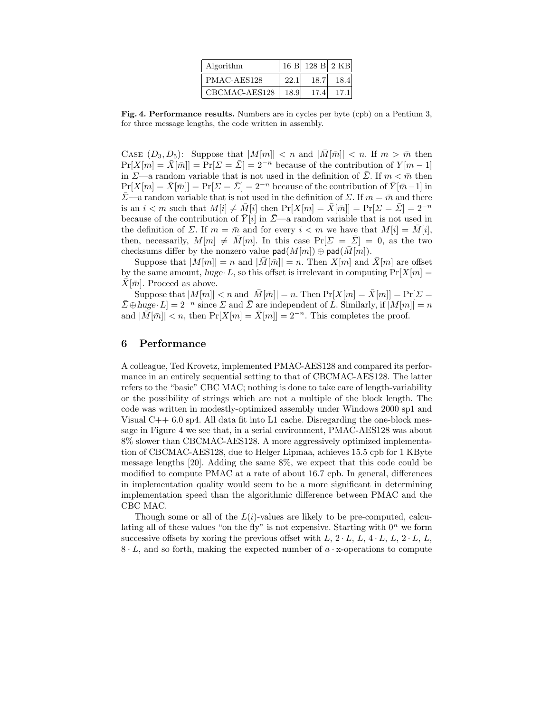| Algorithm     |      | 16 B 128 B 2 KB |      |
|---------------|------|-----------------|------|
| PMAC-AES128   | 22.1 | 18.7            | 18.4 |
| CBCMAC-AES128 | 18.9 | 17.4            | 17.1 |

Fig. 4. Performance results. Numbers are in cycles per byte (cpb) on a Pentium 3, for three message lengths, the code written in assembly.

CASE  $(D_3, D_5)$ : Suppose that  $|M[m]| < n$  and  $|M[\bar{m}]| < n$ . If  $m > \bar{m}$  then  $Pr[X[m] = \overline{X}[\overline{m}]] = Pr[\overline{X} = \overline{X}] = 2^{-n}$  because of the contribution of  $Y[m-1]$ in  $\Sigma$ —a random variable that is not used in the definition of  $\Sigma$ . If  $m < \bar{m}$  then  $Pr[X[m] = \overline{X}[\overline{m}]] = Pr[\overline{X} = \overline{X}] = 2^{-n}$  because of the contribution of  $\overline{Y}[\overline{m} - 1]$  in  $\bar{\Sigma}$ —a random variable that is not used in the definition of  $\Sigma$ . If  $m = \bar{m}$  and there is an  $i < m$  such that  $M[i] \neq \overline{M}[i]$  then  $Pr[X[m] = \overline{X}[\overline{m}]] = Pr[\overline{X} = \overline{X}] = 2^{-n}$ because of the contribution of  $\bar{Y}[i]$  in  $\bar{Z}$ —a random variable that is not used in the definition of  $\Sigma$ . If  $m = \bar{m}$  and for every  $i < m$  we have that  $M[i] = M[i],$ then, necessarily,  $M[m] \neq \overline{M}[m]$ . In this case  $Pr[\Sigma = \overline{\Sigma}] = 0$ , as the two checksums differ by the nonzero value  $\textsf{pad}(M[m]) \oplus \textsf{pad}(\overline{M}[m])$ .

Suppose that  $|M[m]| = n$  and  $|\overline{M}[\overline{m}]| = n$ . Then  $X[m]$  and  $\overline{X}[m]$  are offset by the same amount, huge  $\cdot L$ , so this offset is irrelevant in computing  $Pr[X|m] =$  $\bar{X}[\bar{m}]$ . Proceed as above.

Suppose that  $|M[m]| < n$  and  $|\bar{M}[\bar{m}]| = n$ . Then  $Pr[X[m] = \bar{X}[m]] = Pr[\Sigma =$  $\bar{\Sigma}\oplus \text{huge } L]=2^{-n}$  since  $\Sigma$  and  $\bar{\Sigma}$  are independent of L. Similarly, if  $|M[m]|=n$ and  $|\overline{M}[\overline{m}]| < n$ , then  $Pr[X[m] = \overline{X}[m]] = 2^{-n}$ . This completes the proof.

#### 6 Performance

A colleague, Ted Krovetz, implemented PMAC-AES128 and compared its performance in an entirely sequential setting to that of CBCMAC-AES128. The latter refers to the "basic" CBC MAC; nothing is done to take care of length-variability or the possibility of strings which are not a multiple of the block length. The code was written in modestly-optimized assembly under Windows 2000 sp1 and Visual C++ 6.0 sp4. All data fit into L1 cache. Disregarding the one-block message in Figure 4 we see that, in a serial environment, PMAC-AES128 was about 8% slower than CBCMAC-AES128. A more aggressively optimized implementation of CBCMAC-AES128, due to Helger Lipmaa, achieves 15.5 cpb for 1 KByte message lengths [20]. Adding the same 8%, we expect that this code could be modified to compute PMAC at a rate of about 16.7 cpb. In general, differences in implementation quality would seem to be a more significant in determining implementation speed than the algorithmic difference between PMAC and the CBC MAC.

Though some or all of the  $L(i)$ -values are likely to be pre-computed, calculating all of these values "on the fly" is not expensive. Starting with  $0<sup>n</sup>$  we form successive offsets by xoring the previous offset with  $L, 2 \cdot L, L, 4 \cdot L, L, 2 \cdot L, L$ ,  $8 \cdot L$ , and so forth, making the expected number of  $a \cdot x$ -operations to compute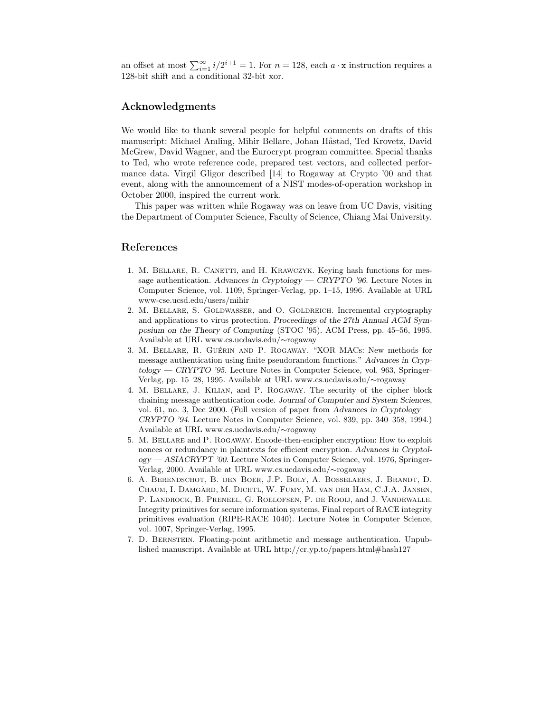an offset at most  $\sum_{i=1}^{\infty} i/2^{i+1} = 1$ . For  $n = 128$ , each  $a \cdot x$  instruction requires a 128-bit shift and a conditional 32-bit xor.

### Acknowledgments

We would like to thank several people for helpful comments on drafts of this manuscript: Michael Amling, Mihir Bellare, Johan Håstad, Ted Krovetz, David McGrew, David Wagner, and the Eurocrypt program committee. Special thanks to Ted, who wrote reference code, prepared test vectors, and collected performance data. Virgil Gligor described [14] to Rogaway at Crypto '00 and that event, along with the announcement of a NIST modes-of-operation workshop in October 2000, inspired the current work.

This paper was written while Rogaway was on leave from UC Davis, visiting the Department of Computer Science, Faculty of Science, Chiang Mai University.

#### References

- 1. M. BELLARE, R. CANETTI, and H. KRAWCZYK. Keying hash functions for message authentication. Advances in Cryptology — CRYPTO '96. Lecture Notes in Computer Science, vol. 1109, Springer-Verlag, pp. 1–15, 1996. Available at URL www-cse.ucsd.edu/users/mihir
- 2. M. BELLARE, S. GOLDWASSER, and O. GOLDREICH. Incremental cryptography and applications to virus protection. Proceedings of the 27th Annual ACM Symposium on the Theory of Computing (STOC '95). ACM Press, pp. 45–56, 1995. Available at URL www.cs.ucdavis.edu/∼rogaway
- 3. M. BELLARE, R. GUÉRIN AND P. ROGAWAY. "XOR MACs: New methods for message authentication using finite pseudorandom functions." Advances in Cryptology — CRYPTO '95. Lecture Notes in Computer Science, vol. 963, Springer-Verlag, pp. 15–28, 1995. Available at URL www.cs.ucdavis.edu/∼rogaway
- 4. M. Bellare, J. Kilian, and P. Rogaway. The security of the cipher block chaining message authentication code. Journal of Computer and System Sciences, vol. 61, no. 3, Dec 2000. (Full version of paper from Advances in Cryptology — CRYPTO '94. Lecture Notes in Computer Science, vol. 839, pp. 340–358, 1994.) Available at URL www.cs.ucdavis.edu/∼rogaway
- 5. M. Bellare and P. Rogaway. Encode-then-encipher encryption: How to exploit nonces or redundancy in plaintexts for efficient encryption. Advances in Cryptology — ASIACRYPT '00. Lecture Notes in Computer Science, vol. 1976, Springer-Verlag, 2000. Available at URL www.cs.ucdavis.edu/∼rogaway
- 6. A. Berendschot, B. den Boer, J.P. Boly, A. Bosselaers, J. Brandt, D. Chaum, I. Damg˚ard, M. Dichtl, W. Fumy, M. van der Ham, C.J.A. Jansen, P. Landrock, B. Preneel, G. Roelofsen, P. de Rooij, and J. Vandewalle. Integrity primitives for secure information systems, Final report of RACE integrity primitives evaluation (RIPE-RACE 1040). Lecture Notes in Computer Science, vol. 1007, Springer-Verlag, 1995.
- 7. D. Bernstein. Floating-point arithmetic and message authentication. Unpublished manuscript. Available at URL http://cr.yp.to/papers.html#hash127